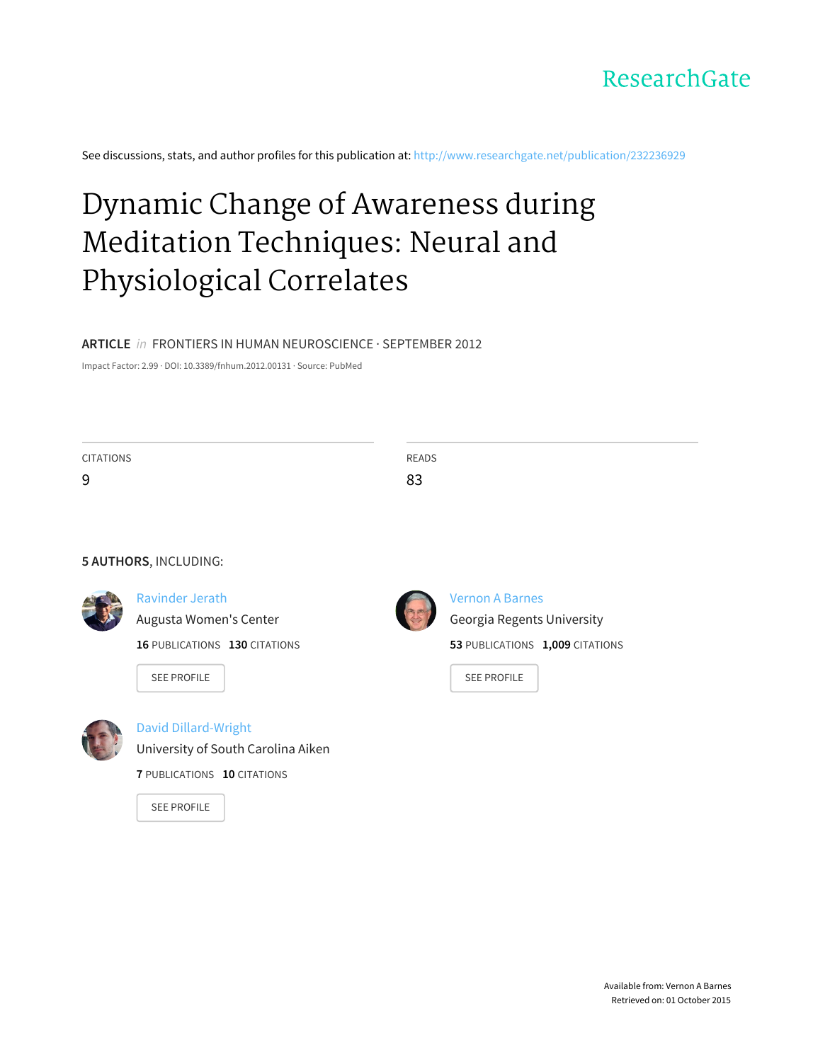

See discussions, stats, and author profiles for this publication at: [http://www.researchgate.net/publication/232236929](http://www.researchgate.net/publication/232236929_Dynamic_Change_of_Awareness_during_Meditation_Techniques_Neural_and_Physiological_Correlates?enrichId=rgreq-4f06a09c-8d5f-4e57-bfc8-b700e21b385e&enrichSource=Y292ZXJQYWdlOzIzMjIzNjkyOTtBUzoxMDQ5NTQ3NTY4NjE5NTJAMTQwMjAzNDU3MzI0MQ%3D%3D&el=1_x_2)

# Dynamic Change of Awareness during Meditation Techniques: Neural and [Physiological](http://www.researchgate.net/publication/232236929_Dynamic_Change_of_Awareness_during_Meditation_Techniques_Neural_and_Physiological_Correlates?enrichId=rgreq-4f06a09c-8d5f-4e57-bfc8-b700e21b385e&enrichSource=Y292ZXJQYWdlOzIzMjIzNjkyOTtBUzoxMDQ5NTQ3NTY4NjE5NTJAMTQwMjAzNDU3MzI0MQ%3D%3D&el=1_x_3) Correlates

#### **ARTICLE** in FRONTIERS IN HUMAN NEUROSCIENCE · SEPTEMBER 2012

Impact Factor: 2.99 · DOI: 10.3389/fnhum.2012.00131 · Source: PubMed

| <b>CITATIONS</b>      |                               | READS |                                 |
|-----------------------|-------------------------------|-------|---------------------------------|
| 9                     |                               | 83    |                                 |
|                       |                               |       |                                 |
|                       |                               |       |                                 |
| 5 AUTHORS, INCLUDING: |                               |       |                                 |
|                       | Ravinder Jerath               |       | <b>Vernon A Barnes</b>          |
|                       | Augusta Women's Center        |       | Georgia Regents University      |
|                       | 16 PUBLICATIONS 130 CITATIONS |       | 53 PUBLICATIONS 1,009 CITATIONS |
|                       | <b>SEE PROFILE</b>            |       | <b>SEE PROFILE</b>              |



David [Dillard-Wright](http://www.researchgate.net/profile/David_Dillard-Wright?enrichId=rgreq-4f06a09c-8d5f-4e57-bfc8-b700e21b385e&enrichSource=Y292ZXJQYWdlOzIzMjIzNjkyOTtBUzoxMDQ5NTQ3NTY4NjE5NTJAMTQwMjAzNDU3MzI0MQ%3D%3D&el=1_x_5)

[University](http://www.researchgate.net/institution/University_of_South_Carolina_Aiken?enrichId=rgreq-4f06a09c-8d5f-4e57-bfc8-b700e21b385e&enrichSource=Y292ZXJQYWdlOzIzMjIzNjkyOTtBUzoxMDQ5NTQ3NTY4NjE5NTJAMTQwMjAzNDU3MzI0MQ%3D%3D&el=1_x_6) of South Carolina Aiken

**7** PUBLICATIONS **10** CITATIONS

SEE [PROFILE](http://www.researchgate.net/profile/David_Dillard-Wright?enrichId=rgreq-4f06a09c-8d5f-4e57-bfc8-b700e21b385e&enrichSource=Y292ZXJQYWdlOzIzMjIzNjkyOTtBUzoxMDQ5NTQ3NTY4NjE5NTJAMTQwMjAzNDU3MzI0MQ%3D%3D&el=1_x_7)

Available from: Vernon A Barnes Retrieved on: 01 October 2015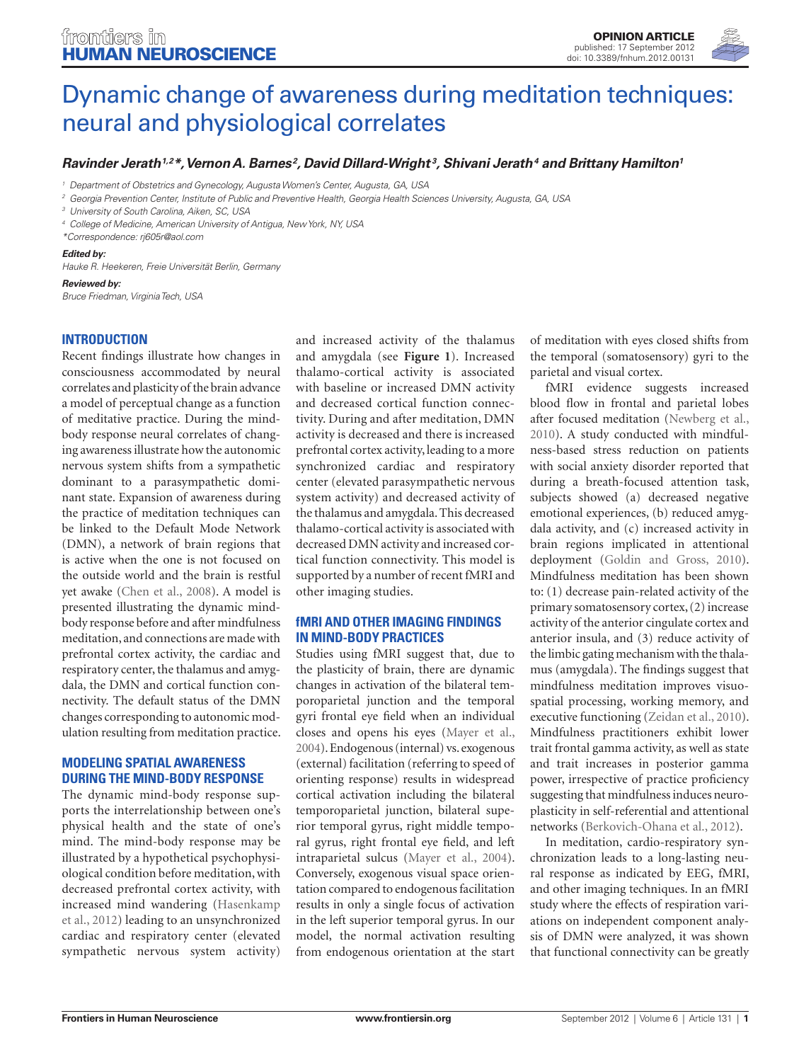

# [Dynamic change of awareness during meditation techniques:](http://www.frontiersin.org/Human_Neuroscience/10.3389/fnhum.2012.00131/full) neural and physiological correlates

## *[Ravinder Jerath1](http://www.frontiersin.org/Community/WhosWhoActivity.aspx?sname=RavinderJerath&UID=40277),2\*, [Vernon A. Barnes](http://www.frontiersin.org/people/VernonBarnes/66487) <sup>2</sup> , [David Dillard-Wright](http://www.frontiersin.org/Community/WhosWhoActivity.aspx?sname=DavidDillard-wright&UID=59005) <sup>3</sup> , [Shivani Jerath](http://www.frontiersin.org/people/ShivaniJerath/66503)4 and [Brittany Hamilton](http://www.frontiersin.org/people/BrittanyHamilton/66508)1*

*<sup>1</sup> Department of Obstetrics and Gynecology, Augusta Women's Center, Augusta, GA, USA*

*<sup>2</sup> Georgia Prevention Center, Institute of Public and Preventive Health, Georgia Health Sciences University, Augusta, GA, USA*

*<sup>3</sup> University of South Carolina, Aiken, SC, USA*

*<sup>4</sup> College of Medicine, American University of Antigua, New York, NY, USA*

*\*Correspondence: [rj605r@aol.com](mailto:rj605r@aol.com)*

#### *Edited by:*

*Hauke R. Heekeren, Freie Universität Berlin, Germany*

#### *Reviewed by:*

*Bruce Friedman, Virginia Tech, USA*

### **Introduction**

Recent findings illustrate how changes in consciousness accommodated by neural correlates and plasticity of the brain advance a model of perceptual change as a function of meditative practice. During the mindbody response neural correlates of changing awareness illustrate how the autonomic nervous system shifts from a sympathetic dominant to a parasympathetic dominant state. Expansion of awareness during the practice of meditation techniques can be linked to the Default Mode Network (DMN), a network of brain regions that is active when the one is not focused on the outside world and the brain is restful yet awake (Chen et al., 2008). A model is presented illustrating the dynamic mindbody response before and after mindfulness meditation, and connections are made with prefrontal cortex activity, the cardiac and respiratory center, the thalamus and amygdala, the DMN and cortical function connectivity. The default status of the DMN changes corresponding to autonomic modulation resulting from meditation practice.

#### **Modeling spatial awareness during the mind-body response**

The dynamic mind-body response supports the interrelationship between one's physical health and the state of one's mind. The mind-body response may be illustrated by a hypothetical psychophysiological condition before meditation, with decreased prefrontal cortex activity, with increased mind wandering (Hasenkamp et al., 2012) leading to an unsynchronized cardiac and respiratory center (elevated sympathetic nervous system activity)

and increased activity of the thalamus and amygdala (see **Figure 1**). Increased thalamo-cortical activity is associated with baseline or increased DMN activity and decreased cortical function connectivity. During and after meditation, DMN activity is decreased and there is increased prefrontal cortex activity, leading to a more synchronized cardiac and respiratory center (elevated parasympathetic nervous system activity) and decreased activity of the thalamus and amygdala. This decreased thalamo-cortical activity is associated with decreased DMN activity and increased cortical function connectivity. This model is supported by a number of recent fMRI and other imaging studies.

#### **fMRI and other imaging findings in mind-body practices**

Studies using fMRI suggest that, due to the plasticity of brain, there are dynamic changes in activation of the bilateral temporoparietal junction and the temporal gyri frontal eye field when an individual closes and opens his eyes (Mayer et al., 2004). Endogenous (internal) vs. exogenous (external) facilitation (referring to speed of orienting response) results in widespread cortical activation including the bilateral temporoparietal junction, bilateral superior temporal gyrus, right middle temporal gyrus, right frontal eye field, and left intraparietal sulcus (Mayer et al., 2004). Conversely, exogenous visual space orientation compared to endogenous facilitation results in only a single focus of activation in the left superior temporal gyrus. In our model, the normal activation resulting from endogenous orientation at the start of meditation with eyes closed shifts from the temporal (somatosensory) gyri to the parietal and visual cortex.

fMRI evidence suggests increased blood flow in frontal and parietal lobes after focused meditation (Newberg et al., 2010). A study conducted with mindfulness-based stress reduction on patients with social anxiety disorder reported that during a breath-focused attention task, subjects showed (a) decreased negative emotional experiences, (b) reduced amygdala activity, and (c) increased activity in brain regions implicated in attentional deployment (Goldin and Gross, 2010). Mindfulness meditation has been shown to: (1) decrease pain-related activity of the primary somatosensory cortex, (2) increase activity of the anterior cingulate cortex and anterior insula, and (3) reduce activity of the limbic gating mechanism with the thalamus (amygdala). The findings suggest that mindfulness meditation improves visuospatial processing, working memory, and executive functioning (Zeidan et al., 2010). Mindfulness practitioners exhibit lower trait frontal gamma activity, as well as state and trait increases in posterior gamma power, irrespective of practice proficiency suggesting that mindfulness induces neuroplasticity in self-referential and attentional networks (Berkovich-Ohana et al., 2012).

In meditation, cardio-respiratory synchronization leads to a long-lasting neural response as indicated by EEG, fMRI, and other imaging techniques. In an fMRI study where the effects of respiration variations on independent component analysis of DMN were analyzed, it was shown that functional connectivity can be greatly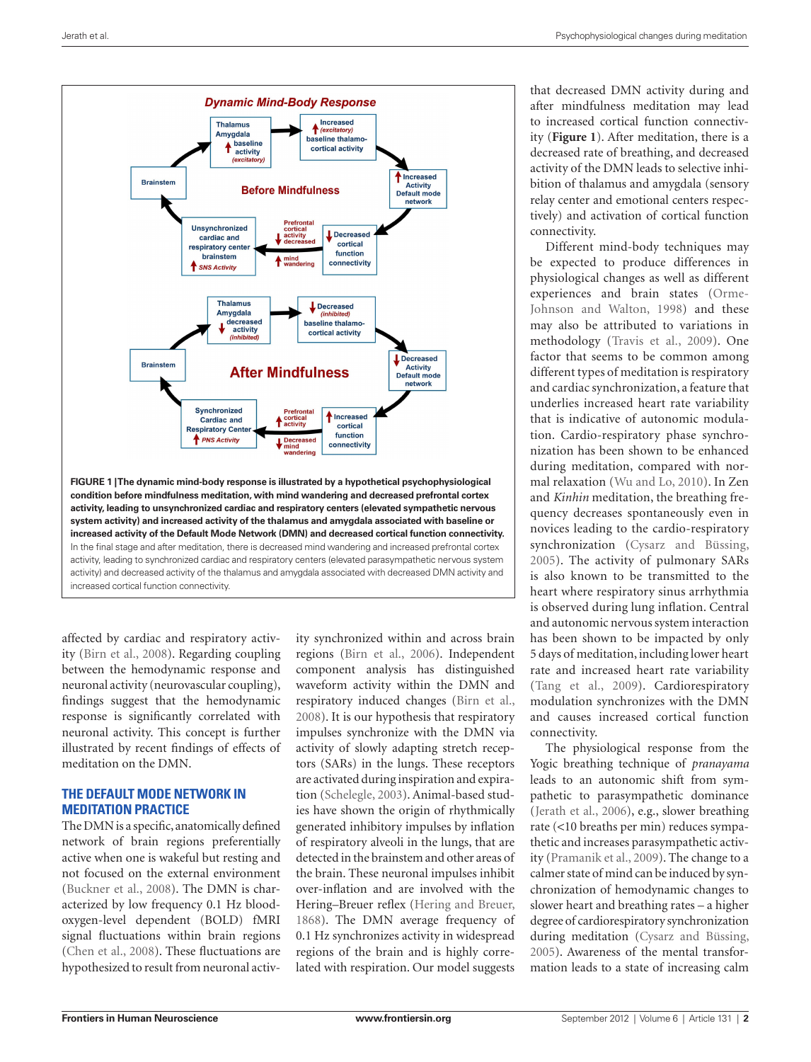

affected by cardiac and respiratory activity (Birn et al., 2008). Regarding coupling between the hemodynamic response and neuronal activity (neurovascular coupling), findings suggest that the hemodynamic response is significantly correlated with neuronal activity. This concept is further illustrated by recent findings of effects of meditation on the DMN.

### **The default mode network in meditation practice**

The DMN is a specific, anatomically defined network of brain regions preferentially active when one is wakeful but resting and not focused on the external environment (Buckner et al., 2008). The DMN is characterized by low frequency 0.1 Hz bloodoxygen-level dependent (BOLD) fMRI signal fluctuations within brain regions (Chen et al., 2008). These fluctuations are hypothesized to result from neuronal activ-

ity synchronized within and across brain regions (Birn et al., 2006). Independent component analysis has distinguished waveform activity within the DMN and respiratory induced changes (Birn et al., 2008). It is our hypothesis that respiratory impulses synchronize with the DMN via activity of slowly adapting stretch receptors (SARs) in the lungs. These receptors are activated during inspiration and expiration (Schelegle, 2003). Animal-based studies have shown the origin of rhythmically generated inhibitory impulses by inflation of respiratory alveoli in the lungs, that are detected in the brainstem and other areas of the brain. These neuronal impulses inhibit over-inflation and are involved with the Hering–Breuer reflex (Hering and Breuer, 1868). The DMN average frequency of 0.1 Hz synchronizes activity in widespread regions of the brain and is highly correlated with respiration. Our model suggests that decreased DMN activity during and after mindfulness meditation may lead to increased cortical function connectivity (**Figure 1**). After meditation, there is a decreased rate of breathing, and decreased activity of the DMN leads to selective inhibition of thalamus and amygdala (sensory relay center and emotional centers respectively) and activation of cortical function connectivity.

Different mind-body techniques may be expected to produce differences in physiological changes as well as different experiences and brain states (Orme-Johnson and Walton, 1998) and these may also be attributed to variations in methodology (Travis et al., 2009). One factor that seems to be common among different types of meditation is respiratory and cardiac synchronization, a feature that underlies increased heart rate variability that is indicative of autonomic modulation. Cardio-respiratory phase synchronization has been shown to be enhanced during meditation, compared with normal relaxation (Wu and Lo, 2010). In Zen and *Kinhin* meditation, the breathing frequency decreases spontaneously even in novices leading to the cardio-respiratory synchronization (Cysarz and Büssing, 2005). The activity of pulmonary SARs is also known to be transmitted to the heart where respiratory sinus arrhythmia is observed during lung inflation. Central and autonomic nervous system interaction has been shown to be impacted by only 5 days of meditation, including lower heart rate and increased heart rate variability (Tang et al., 2009). Cardiorespiratory modulation synchronizes with the DMN and causes increased cortical function connectivity.

The physiological response from the Yogic breathing technique of *pranayama* leads to an autonomic shift from sympathetic to parasympathetic dominance (Jerath et al., 2006), e.g., slower breathing rate (<10 breaths per min) reduces sympathetic and increases parasympathetic activity (Pramanik et al., 2009). The change to a calmer state of mind can be induced by synchronization of hemodynamic changes to slower heart and breathing rates – a higher degree of cardiorespiratory synchronization during meditation (Cysarz and Büssing, 2005). Awareness of the mental transformation leads to a state of increasing calm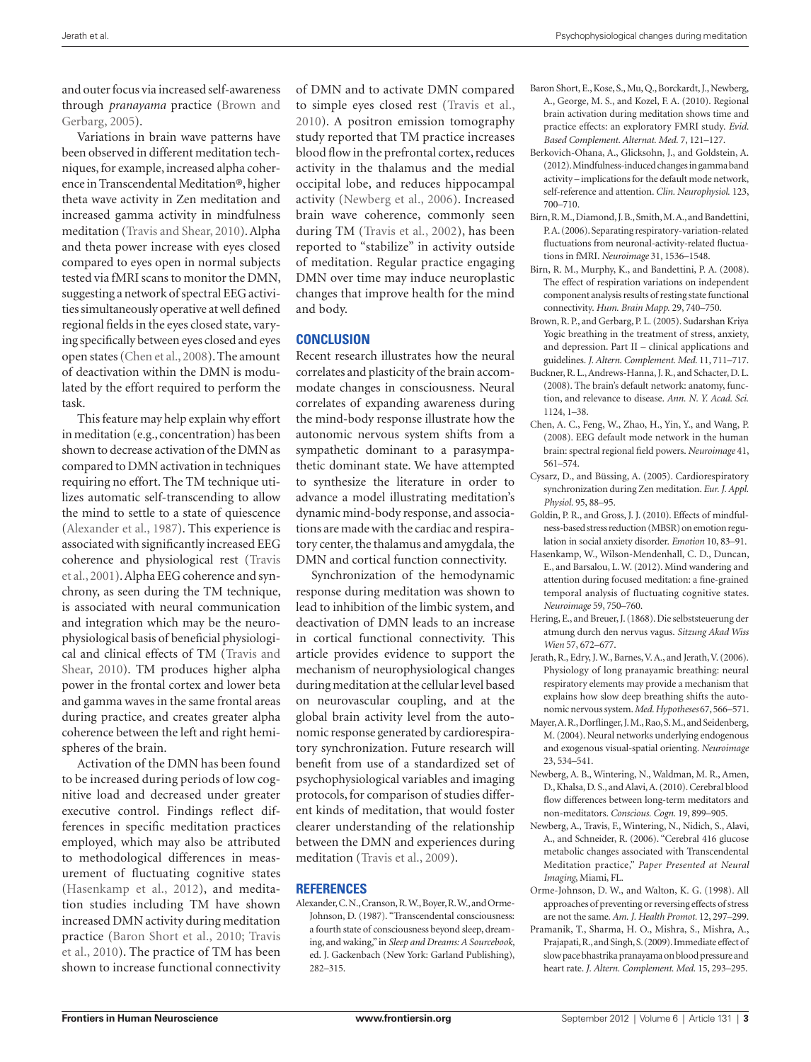and outer focus via increased self-awareness through *pranayama* practice (Brown and Gerbarg, 2005).

Variations in brain wave patterns have been observed in different meditation techniques, for example, increased alpha coherence in Transcendental Meditation®, higher theta wave activity in Zen meditation and increased gamma activity in mindfulness meditation (Travis and Shear, 2010). Alpha and theta power increase with eyes closed compared to eyes open in normal subjects tested via fMRI scans to monitor the DMN, suggesting a network of spectral EEG activities simultaneously operative at well defined regional fields in the eyes closed state, varying specifically between eyes closed and eyes open states (Chen et al., 2008). The amount of deactivation within the DMN is modulated by the effort required to perform the task.

This feature may help explain why effort in meditation (e.g., concentration) has been shown to decrease activation of the DMN as compared to DMN activation in techniques requiring no effort. The TM technique utilizes automatic self-transcending to allow the mind to settle to a state of quiescence (Alexander et al., 1987). This experience is associated with significantly increased EEG coherence and physiological rest (Travis et al., 2001). Alpha EEG coherence and synchrony, as seen during the TM technique, is associated with neural communication and integration which may be the neurophysiological basis of beneficial physiological and clinical effects of TM (Travis and Shear, 2010). TM produces higher alpha power in the frontal cortex and lower beta and gamma waves in the same frontal areas during practice, and creates greater alpha coherence between the left and right hemispheres of the brain.

Activation of the DMN has been found to be increased during periods of low cognitive load and decreased under greater executive control. Findings reflect differences in specific meditation practices employed, which may also be attributed to methodological differences in measurement of fluctuating cognitive states (Hasenkamp et al., 2012), and meditation studies including TM have shown increased DMN activity during meditation practice (Baron Short et al., 2010; Travis et al., 2010). The practice of TM has been shown to increase functional connectivity

of DMN and to activate DMN compared to simple eyes closed rest (Travis et al., 2010). A positron emission tomography study reported that TM practice increases blood flow in the prefrontal cortex, reduces activity in the thalamus and the medial occipital lobe, and reduces hippocampal activity (Newberg et al., 2006). Increased brain wave coherence, commonly seen during TM (Travis et al., 2002), has been reported to "stabilize" in activity outside of meditation. Regular practice engaging DMN over time may induce neuroplastic changes that improve health for the mind and body.

#### **Conclusion**

Recent research illustrates how the neural correlates and plasticity of the brain accommodate changes in consciousness. Neural correlates of expanding awareness during the mind-body response illustrate how the autonomic nervous system shifts from a sympathetic dominant to a parasympathetic dominant state. We have attempted to synthesize the literature in order to advance a model illustrating meditation's dynamic mind-body response, and associations are made with the cardiac and respiratory center, the thalamus and amygdala, the DMN and cortical function connectivity.

Synchronization of the hemodynamic response during meditation was shown to lead to inhibition of the limbic system, and deactivation of DMN leads to an increase in cortical functional connectivity. This article provides evidence to support the mechanism of neurophysiological changes during meditation at the cellular level based on neurovascular coupling, and at the global brain activity level from the autonomic response generated by cardiorespiratory synchronization. Future research will benefit from use of a standardized set of psychophysiological variables and imaging protocols, for comparison of studies different kinds of meditation, that would foster clearer understanding of the relationship between the DMN and experiences during meditation (Travis et al., 2009).

#### **References**

Alexander, C. N., Cranson, R. W., Boyer, R. W., and Orme-Johnson, D. (1987). "Transcendental consciousness: a fourth state of consciousness beyond sleep, dreaming, and waking," in *Sleep and Dreams: A Sourcebook*, ed. J. Gackenbach (New York: Garland Publishing), 282–315.

- Baron Short, E., Kose, S., Mu, Q., Borckardt, J., Newberg, A., George, M. S., and Kozel, F. A. (2010). Regional brain activation during meditation shows time and practice effects: an exploratory FMRI study. *Evid. Based Complement. Alternat. Med.* 7, 121–127.
- Berkovich-Ohana, A., Glicksohn, J., and Goldstein, A. (2012). Mindfulness-induced changes in gamma band activity – implications for the default mode network, self-reference and attention. *Clin. Neurophysiol.* 123, 700–710.
- Birn, R. M., Diamond, J. B., Smith, M. A., and Bandettini, P. A. (2006). Separating respiratory-variation-related fluctuations from neuronal-activity-related fluctuations in fMRI. *Neuroimage* 31, 1536–1548.
- Birn, R. M., Murphy, K., and Bandettini, P. A. (2008). The effect of respiration variations on independent component analysis results of resting state functional connectivity. *Hum. Brain Mapp.* 29, 740–750.
- Brown, R. P., and Gerbarg, P. L. (2005). Sudarshan Kriya Yogic breathing in the treatment of stress, anxiety, and depression. Part II – clinical applications and guidelines. *J. Altern. Complement. Med.* 11, 711–717.
- Buckner, R. L., Andrews-Hanna, J. R., and Schacter, D. L. (2008). The brain's default network: anatomy, function, and relevance to disease. *Ann. N. Y. Acad. Sci.* 1124, 1–38.
- Chen, A. C., Feng, W., Zhao, H., Yin, Y., and Wang, P. (2008). EEG default mode network in the human brain: spectral regional field powers. *Neuroimage* 41, 561–574.
- Cysarz, D., and Büssing, A. (2005). Cardiorespiratory synchronization during Zen meditation. *Eur. J. Appl. Physiol.* 95, 88–95.
- Goldin, P. R., and Gross, J. J. (2010). Effects of mindfulness-based stress reduction (MBSR) on emotion regulation in social anxiety disorder. *Emotion* 10, 83–91.
- Hasenkamp, W., Wilson-Mendenhall, C. D., Duncan, E., and Barsalou, L. W. (2012). Mind wandering and attention during focused meditation: a fine-grained temporal analysis of fluctuating cognitive states. *Neuroimage* 59, 750–760.
- Hering, E., and Breuer, J. (1868). Die selbststeuerung der atmung durch den nervus vagus. *Sitzung Akad Wiss Wien* 57, 672–677.
- Jerath, R., Edry, J. W., Barnes, V. A., and Jerath, V. (2006). Physiology of long pranayamic breathing: neural respiratory elements may provide a mechanism that explains how slow deep breathing shifts the autonomic nervous system. *Med. Hypotheses* 67, 566–571.
- Mayer, A. R., Dorflinger, J. M., Rao, S. M., and Seidenberg, M. (2004). Neural networks underlying endogenous and exogenous visual-spatial orienting. *Neuroimage*  23, 534–541.
- Newberg, A. B., Wintering, N., Waldman, M. R., Amen, D., Khalsa, D. S., and Alavi, A. (2010). Cerebral blood flow differences between long-term meditators and non-meditators. *Conscious. Cogn.* 19, 899–905.
- Newberg, A., Travis, F., Wintering, N., Nidich, S., Alavi, A., and Schneider, R. (2006). "Cerebral 416 glucose metabolic changes associated with Transcendental Meditation practice," *Paper Presented at Neural Imaging*, Miami, FL.
- Orme-Johnson, D. W., and Walton, K. G. (1998). All approaches of preventing or reversing effects of stress are not the same. *Am. J. Health Promot.* 12, 297–299.
- Pramanik, T., Sharma, H. O., Mishra, S., Mishra, A., Prajapati, R., and Singh, S. (2009). Immediate effect of slow pace bhastrika pranayama on blood pressure and heart rate. *J. Altern. Complement. Med.* 15, 293–295.